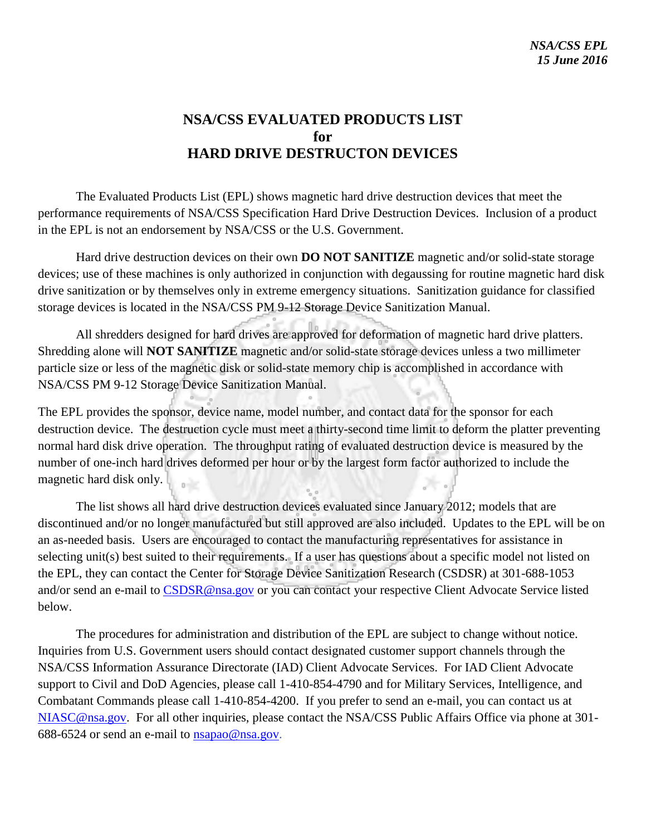# **NSA/CSS EVALUATED PRODUCTS LIST for HARD DRIVE DESTRUCTON DEVICES**

The Evaluated Products List (EPL) shows magnetic hard drive destruction devices that meet the performance requirements of NSA/CSS Specification Hard Drive Destruction Devices. Inclusion of a product in the EPL is not an endorsement by NSA/CSS or the U.S. Government.

Hard drive destruction devices on their own **DO NOT SANITIZE** magnetic and/or solid-state storage devices; use of these machines is only authorized in conjunction with degaussing for routine magnetic hard disk drive sanitization or by themselves only in extreme emergency situations. Sanitization guidance for classified storage devices is located in the NSA/CSS PM 9-12 Storage Device Sanitization Manual.

All shredders designed for hard drives are approved for deformation of magnetic hard drive platters. Shredding alone will **NOT SANITIZE** magnetic and/or solid-state storage devices unless a two millimeter particle size or less of the magnetic disk or solid-state memory chip is accomplished in accordance with NSA/CSS PM 9-12 Storage Device Sanitization Manual.

The EPL provides the sponsor, device name, model number, and contact data for the sponsor for each destruction device. The destruction cycle must meet a thirty-second time limit to deform the platter preventing normal hard disk drive operation. The throughput rating of evaluated destruction device is measured by the number of one-inch hard drives deformed per hour or by the largest form factor authorized to include the magnetic hard disk only.

The list shows all hard drive destruction devices evaluated since January 2012; models that are discontinued and/or no longer manufactured but still approved are also included. Updates to the EPL will be on an as-needed basis. Users are encouraged to contact the manufacturing representatives for assistance in selecting unit(s) best suited to their requirements. If a user has questions about a specific model not listed on the EPL, they can contact the Center for Storage Device Sanitization Research (CSDSR) at 301-688-1053 and/or send an e-mail to [CSDSR@nsa.gov](mailto:CSDSR@nsa.gov) or you can contact your respective Client Advocate Service listed below.

The procedures for administration and distribution of the EPL are subject to change without notice. Inquiries from U.S. Government users should contact designated customer support channels through the NSA/CSS Information Assurance Directorate (IAD) Client Advocate Services. For IAD Client Advocate support to Civil and DoD Agencies, please call 1-410-854-4790 and for Military Services, Intelligence, and Combatant Commands please call 1-410-854-4200. If you prefer to send an e-mail, you can contact us at [NIASC@nsa.gov.](mailto:NIASC@nsa.gov) For all other inquiries, please contact the NSA/CSS Public Affairs Office via phone at 301- 688-6524 or send an e-mail to [nsapao@nsa.gov.](mailto:nsapao@nsa.gov)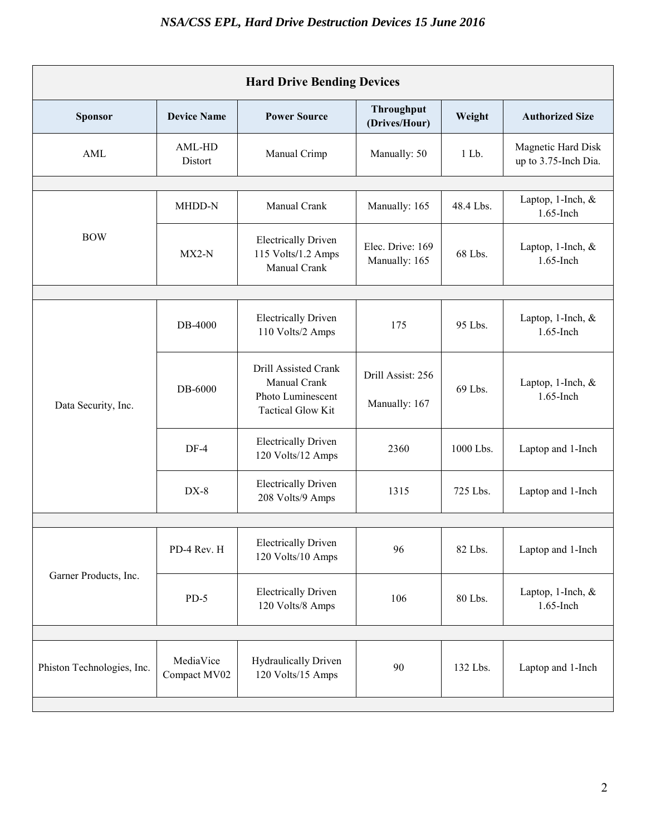| <b>Hard Drive Bending Devices</b> |                           |                                                                                       |                                    |           |                                            |  |  |
|-----------------------------------|---------------------------|---------------------------------------------------------------------------------------|------------------------------------|-----------|--------------------------------------------|--|--|
| <b>Sponsor</b>                    | <b>Device Name</b>        | <b>Power Source</b>                                                                   | Throughput<br>(Drives/Hour)        | Weight    | <b>Authorized Size</b>                     |  |  |
| AML                               | AML-HD<br>Distort         | Manual Crimp                                                                          | Manually: 50                       | $1$ Lb.   | Magnetic Hard Disk<br>up to 3.75-Inch Dia. |  |  |
|                                   |                           |                                                                                       |                                    |           |                                            |  |  |
| <b>BOW</b>                        | MHDD-N                    | Manual Crank                                                                          | Manually: 165                      | 48.4 Lbs. | Laptop, 1-Inch, &<br>1.65-Inch             |  |  |
|                                   | $MX2-N$                   | <b>Electrically Driven</b><br>115 Volts/1.2 Amps<br>Manual Crank                      | Elec. Drive: 169<br>Manually: 165  | 68 Lbs.   | Laptop, $1$ -Inch, $\&$<br>1.65-Inch       |  |  |
|                                   |                           |                                                                                       |                                    |           |                                            |  |  |
| Data Security, Inc.               | DB-4000                   | <b>Electrically Driven</b><br>110 Volts/2 Amps                                        | 175                                | 95 Lbs.   | Laptop, 1-Inch, &<br>1.65-Inch             |  |  |
|                                   | DB-6000                   | Drill Assisted Crank<br>Manual Crank<br>Photo Luminescent<br><b>Tactical Glow Kit</b> | Drill Assist: 256<br>Manually: 167 | 69 Lbs.   | Laptop, 1-Inch, &<br>1.65-Inch             |  |  |
|                                   | $DF-4$                    | <b>Electrically Driven</b><br>120 Volts/12 Amps                                       | 2360                               | 1000 Lbs. | Laptop and 1-Inch                          |  |  |
|                                   | $DX-8$                    | <b>Electrically Driven</b><br>208 Volts/9 Amps                                        | 1315                               | 725 Lbs.  | Laptop and 1-Inch                          |  |  |
|                                   |                           |                                                                                       |                                    |           |                                            |  |  |
| Garner Products, Inc.             | PD-4 Rev. H               | <b>Electrically Driven</b><br>120 Volts/10 Amps                                       | 96                                 | 82 Lbs.   | Laptop and 1-Inch                          |  |  |
|                                   | $PD-5$                    | <b>Electrically Driven</b><br>120 Volts/8 Amps                                        | 106                                | 80 Lbs.   | Laptop, 1-Inch, $\&$<br>1.65-Inch          |  |  |
|                                   |                           |                                                                                       |                                    |           |                                            |  |  |
| Phiston Technologies, Inc.        | MediaVice<br>Compact MV02 | <b>Hydraulically Driven</b><br>120 Volts/15 Amps                                      | 90                                 | 132 Lbs.  | Laptop and 1-Inch                          |  |  |
|                                   |                           |                                                                                       |                                    |           |                                            |  |  |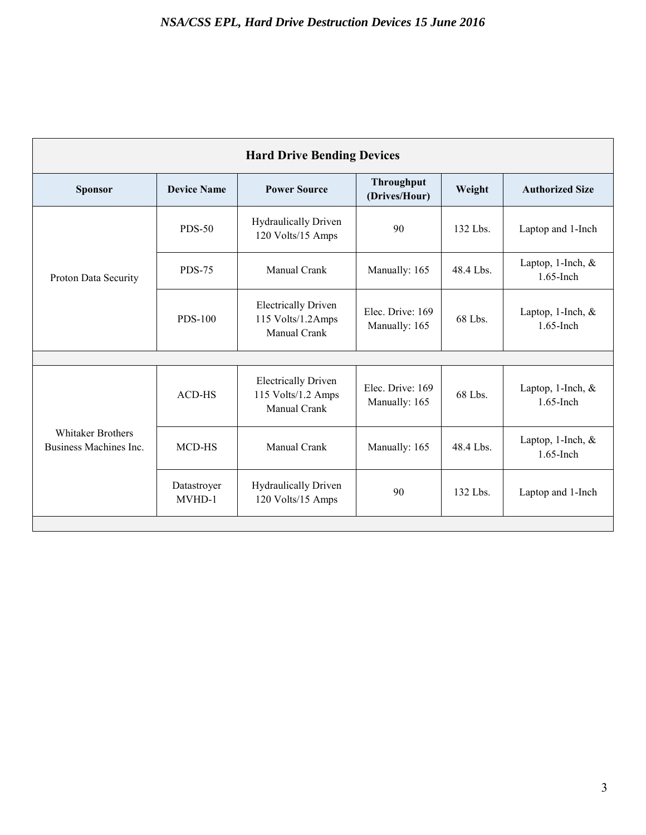| <b>Hard Drive Bending Devices</b>                  |                       |                                                                         |                                    |           |                                     |  |  |  |
|----------------------------------------------------|-----------------------|-------------------------------------------------------------------------|------------------------------------|-----------|-------------------------------------|--|--|--|
| <b>Sponsor</b>                                     | <b>Device Name</b>    | <b>Power Source</b>                                                     | <b>Throughput</b><br>(Drives/Hour) | Weight    | <b>Authorized Size</b>              |  |  |  |
| Proton Data Security                               | <b>PDS-50</b>         | <b>Hydraulically Driven</b><br>120 Volts/15 Amps                        | 90                                 | 132 Lbs.  | Laptop and 1-Inch                   |  |  |  |
|                                                    | <b>PDS-75</b>         | <b>Manual Crank</b>                                                     | Manually: 165                      | 48.4 Lbs. | Laptop, 1-Inch, $&$<br>$1.65$ -Inch |  |  |  |
|                                                    | <b>PDS-100</b>        | <b>Electrically Driven</b><br>115 Volts/1.2Amps<br>Manual Crank         | Elec. Drive: 169<br>Manually: 165  | 68 Lbs.   | Laptop, 1-Inch, $&$<br>$1.65$ -Inch |  |  |  |
|                                                    |                       |                                                                         |                                    |           |                                     |  |  |  |
| <b>Whitaker Brothers</b><br>Business Machines Inc. | <b>ACD-HS</b>         | <b>Electrically Driven</b><br>115 Volts/1.2 Amps<br><b>Manual Crank</b> | Elec. Drive: 169<br>Manually: 165  | 68 Lbs.   | Laptop, 1-Inch, $&$<br>$1.65$ -Inch |  |  |  |
|                                                    | MCD-HS                | Manual Crank                                                            | Manually: 165                      | 48.4 Lbs. | Laptop, 1-Inch, &<br>$1.65$ -Inch   |  |  |  |
|                                                    | Datastroyer<br>MVHD-1 | <b>Hydraulically Driven</b><br>120 Volts/15 Amps                        | 90                                 | 132 Lbs.  | Laptop and 1-Inch                   |  |  |  |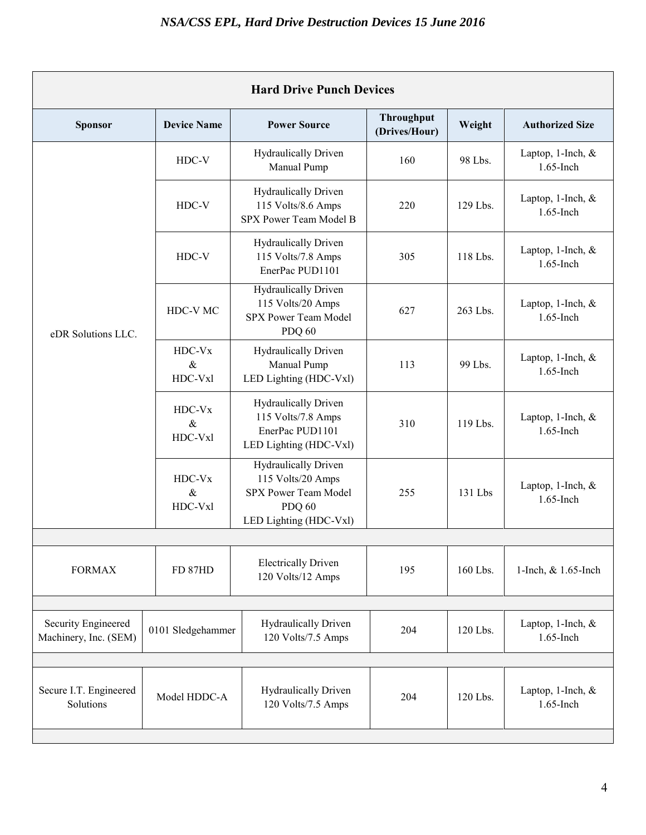| <b>Hard Drive Punch Devices</b>              |                           |                                                                                                                     |                             |          |                                   |  |  |  |
|----------------------------------------------|---------------------------|---------------------------------------------------------------------------------------------------------------------|-----------------------------|----------|-----------------------------------|--|--|--|
| <b>Sponsor</b>                               | <b>Device Name</b>        | <b>Power Source</b>                                                                                                 | Throughput<br>(Drives/Hour) | Weight   | <b>Authorized Size</b>            |  |  |  |
| eDR Solutions LLC.                           | HDC-V                     | Hydraulically Driven<br>Manual Pump                                                                                 | 160                         | 98 Lbs.  | Laptop, 1-Inch, &<br>1.65-Inch    |  |  |  |
|                                              | HDC-V                     | Hydraulically Driven<br>115 Volts/8.6 Amps<br>SPX Power Team Model B                                                | 220                         | 129 Lbs. | Laptop, 1-Inch, $\&$<br>1.65-Inch |  |  |  |
|                                              | HDC-V                     | <b>Hydraulically Driven</b><br>115 Volts/7.8 Amps<br>EnerPac PUD1101                                                | 305                         | 118 Lbs. | Laptop, 1-Inch, $\&$<br>1.65-Inch |  |  |  |
|                                              | HDC-V MC                  | <b>Hydraulically Driven</b><br>115 Volts/20 Amps<br>SPX Power Team Model<br><b>PDQ 60</b>                           | 627                         | 263 Lbs. | Laptop, 1-Inch, &<br>1.65-Inch    |  |  |  |
|                                              | HDC-Vx<br>$\&$<br>HDC-Vxl | <b>Hydraulically Driven</b><br>Manual Pump<br>LED Lighting (HDC-Vxl)                                                | 113                         | 99 Lbs.  | Laptop, 1-Inch, &<br>1.65-Inch    |  |  |  |
|                                              | HDC-Vx<br>$\&$<br>HDC-Vxl | <b>Hydraulically Driven</b><br>115 Volts/7.8 Amps<br>EnerPac PUD1101<br>LED Lighting (HDC-Vxl)                      | 310                         | 119 Lbs. | Laptop, 1-Inch, &<br>1.65-Inch    |  |  |  |
|                                              | HDC-Vx<br>$\&$<br>HDC-Vxl | <b>Hydraulically Driven</b><br>115 Volts/20 Amps<br>SPX Power Team Model<br><b>PDQ 60</b><br>LED Lighting (HDC-Vxl) | 255                         | 131 Lbs  | Laptop, 1-Inch, &<br>1.65-Inch    |  |  |  |
|                                              |                           |                                                                                                                     |                             |          |                                   |  |  |  |
| <b>FORMAX</b>                                | FD 87HD                   | <b>Electrically Driven</b><br>120 Volts/12 Amps                                                                     | 195                         | 160 Lbs. | 1-Inch, & 1.65-Inch               |  |  |  |
|                                              |                           |                                                                                                                     |                             |          |                                   |  |  |  |
| Security Engineered<br>Machinery, Inc. (SEM) | 0101 Sledgehammer         | <b>Hydraulically Driven</b><br>120 Volts/7.5 Amps                                                                   | 204                         | 120 Lbs. | Laptop, 1-Inch, &<br>1.65-Inch    |  |  |  |
|                                              |                           |                                                                                                                     |                             |          |                                   |  |  |  |
| Secure I.T. Engineered<br>Solutions          | Model HDDC-A              | <b>Hydraulically Driven</b><br>120 Volts/7.5 Amps                                                                   | 204                         | 120 Lbs. | Laptop, 1-Inch, &<br>1.65-Inch    |  |  |  |
|                                              |                           |                                                                                                                     |                             |          |                                   |  |  |  |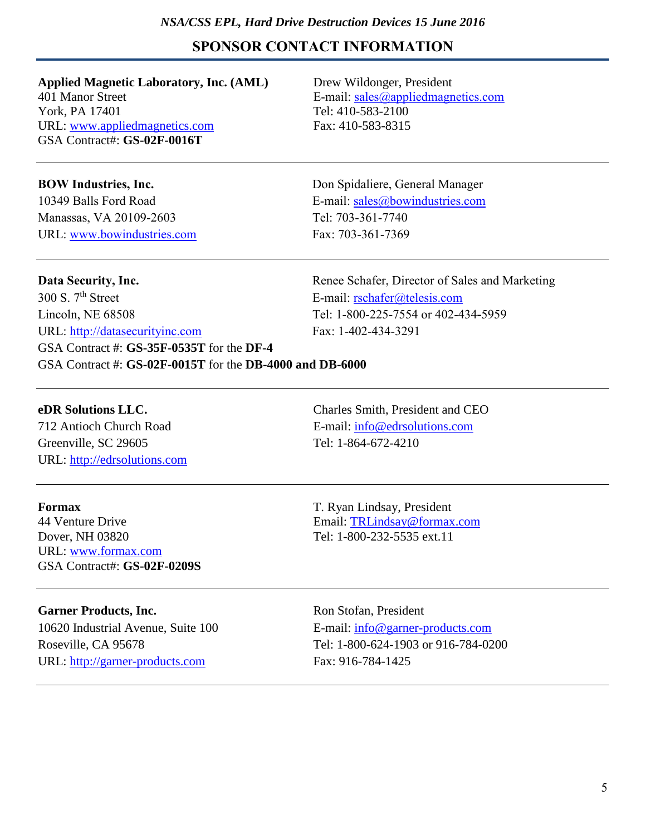### *NSA/CSS EPL, Hard Drive Destruction Devices 15 June 2016*

## **SPONSOR CONTACT INFORMATION**

**Applied Magnetic Laboratory, Inc. (AML)** Drew Wildonger, President 401 Manor Street E-mail: [sales@appliedmagnetics.com](mailto:sales@appliedmagnetics.com) York, PA 17401 Tel: 410-583-2100 URL: [www.appliedmagnetics.com](http://www.appliedmagnetics.com/) Fax: 410-583-8315 GSA Contract#: **GS-02F-0016T**

Manassas, VA 20109-2603 Tel: 703-361-7740 URL: [www.bowindustries.com](http://www.bowindustries.com/) Fax: 703-361-7369

**BOW Industries, Inc.** Don Spidaliere, General Manager 10349 Balls Ford Road E-mail: [sales@bowindustries.com](mailto:sales@bowindustries.com)

**Data Security, Inc.** The Schafer, Director of Sales and Marketing and Marketing Schafer, Director of Sales and Marketing 300 S. 7<sup>th</sup> Street E-mail: [rschafer@telesis.com](mailto:rschafer@telesis.com) Lincoln, NE 68508 Tel: 1-800-225-7554 or 402-434**-**5959 URL: [http://datasecurityinc.com](http://datasecurityinc.com/) Fax: 1-402-434-3291 GSA Contract #: **GS-35F-0535T** for the **DF-4** GSA Contract #: **GS-02F-0015T** for the **DB-4000 and DB-6000**

Greenville, SC 29605 Tel: 1-864-672-4210 URL: [http://edrsolutions.com](http://edrsolutions.com/)

**eDR Solutions LLC.** Charles Smith, President and CEO 712 Antioch Church Road E-mail: [info@edrsolutions.com](mailto:info@edrsolutions.com)

Dover, NH 03820 Tel: 1-800-232-5535 ext.11 URL: [www.formax.com](http://www.formax.com/) GSA Contract#: **GS-02F-0209S**

**Formax** T. Ryan Lindsay, President 44 Venture Drive Email: [TRLindsay@formax.com](mailto:TRLindsay@formax.com)

Garner Products, Inc. **Ron Stofan, President** URL: [http://garner-products.com](http://garner-products.com/) Fax: 916-784-1425

10620 Industrial Avenue, Suite 100 E-mail: [info@garner-products.com](mailto:info@garner-products.com) Roseville, CA 95678 Tel: 1-800-624-1903 or 916-784-0200